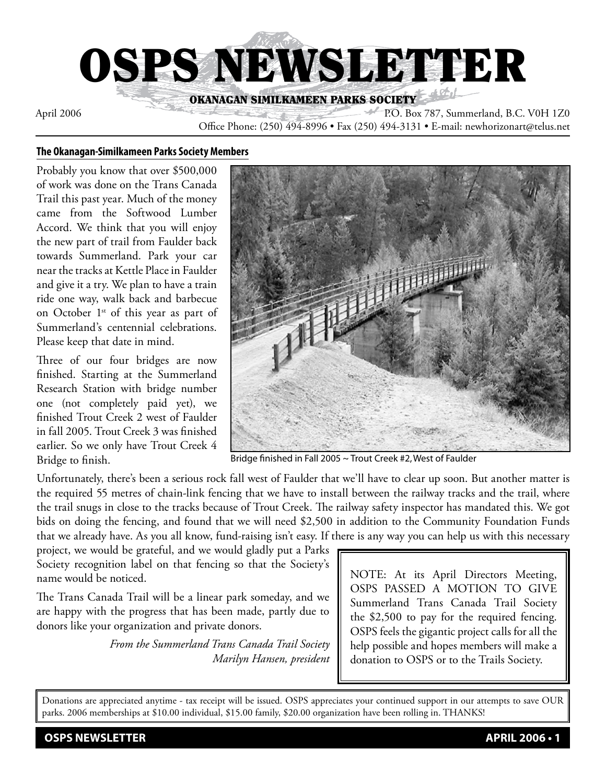

April 2006 P.O. Box 787, Summerland, B.C. V0H 1Z0

Office Phone: (250) 494-8996 • Fax (250) 494-3131 • E-mail: newhorizonart@telus.net

#### **The Okanagan-Similkameen Parks Society Members**

Probably you know that over \$500,000 of work was done on the Trans Canada Trail this past year. Much of the money came from the Softwood Lumber Accord. We think that you will enjoy the new part of trail from Faulder back towards Summerland. Park your car near the tracks at Kettle Place in Faulder and give it a try. We plan to have a train ride one way, walk back and barbecue on October 1<sup>st</sup> of this year as part of Summerland's centennial celebrations. Please keep that date in mind.

Three of our four bridges are now finished. Starting at the Summerland Research Station with bridge number one (not completely paid yet), we finished Trout Creek 2 west of Faulder in fall 2005. Trout Creek 3 was finished earlier. So we only have Trout Creek 4 Bridge to finish.



Bridge finished in Fall 2005 ~ Trout Creek #2, West of Faulder

Unfortunately, there's been a serious rock fall west of Faulder that we'll have to clear up soon. But another matter is the required 55 metres of chain-link fencing that we have to install between the railway tracks and the trail, where the trail snugs in close to the tracks because of Trout Creek. The railway safety inspector has mandated this. We got bids on doing the fencing, and found that we will need \$2,500 in addition to the Community Foundation Funds that we already have. As you all know, fund-raising isn't easy. If there is any way you can help us with this necessary

project, we would be grateful, and we would gladly put a Parks Society recognition label on that fencing so that the Society's name would be noticed.

The Trans Canada Trail will be a linear park someday, and we are happy with the progress that has been made, partly due to donors like your organization and private donors.

> *From the Summerland Trans Canada Trail Society Marilyn Hansen, president*

NOTE: At its April Directors Meeting, OSPS PASSED A MOTION TO GIVE Summerland Trans Canada Trail Society the \$2,500 to pay for the required fencing. OSPS feels the gigantic project calls for all the help possible and hopes members will make a donation to OSPS or to the Trails Society.

Donations are appreciated anytime - tax receipt will be issued. OSPS appreciates your continued support in our attempts to save OUR parks. 2006 memberships at \$10.00 individual, \$15.00 family, \$20.00 organization have been rolling in. THANKS!

**OSPS NEWSLETTER APRIL 2006 • 1**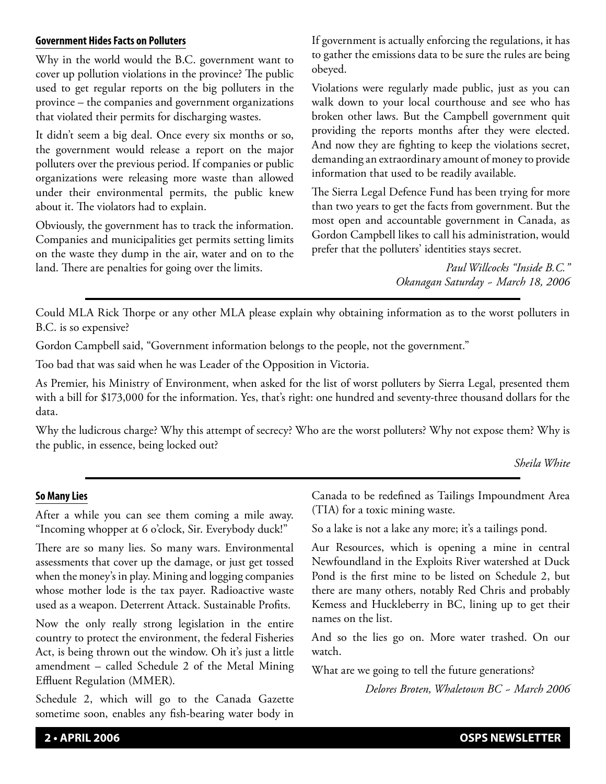### **Government Hides Facts on Polluters**

Why in the world would the B.C. government want to cover up pollution violations in the province? The public used to get regular reports on the big polluters in the province – the companies and government organizations that violated their permits for discharging wastes.

It didn't seem a big deal. Once every six months or so, the government would release a report on the major polluters over the previous period. If companies or public organizations were releasing more waste than allowed under their environmental permits, the public knew about it. The violators had to explain.

Obviously, the government has to track the information. Companies and municipalities get permits setting limits on the waste they dump in the air, water and on to the land. There are penalties for going over the limits.

If government is actually enforcing the regulations, it has to gather the emissions data to be sure the rules are being obeyed.

Violations were regularly made public, just as you can walk down to your local courthouse and see who has broken other laws. But the Campbell government quit providing the reports months after they were elected. And now they are fighting to keep the violations secret, demanding an extraordinary amount of money to provide information that used to be readily available.

The Sierra Legal Defence Fund has been trying for more than two years to get the facts from government. But the most open and accountable government in Canada, as Gordon Campbell likes to call his administration, would prefer that the polluters' identities stays secret.

> *Paul Willcocks "Inside B.C." Okanagan Saturday ~ March 18, 2006*

Could MLA Rick Thorpe or any other MLA please explain why obtaining information as to the worst polluters in B.C. is so expensive?

Gordon Campbell said, "Government information belongs to the people, not the government."

Too bad that was said when he was Leader of the Opposition in Victoria.

As Premier, his Ministry of Environment, when asked for the list of worst polluters by Sierra Legal, presented them with a bill for \$173,000 for the information. Yes, that's right: one hundred and seventy-three thousand dollars for the data.

Why the ludicrous charge? Why this attempt of secrecy? Who are the worst polluters? Why not expose them? Why is the public, in essence, being locked out?

## *Sheila White*

## **So Many Lies**

After a while you can see them coming a mile away. "Incoming whopper at 6 o'clock, Sir. Everybody duck!"

There are so many lies. So many wars. Environmental assessments that cover up the damage, or just get tossed when the money's in play. Mining and logging companies whose mother lode is the tax payer. Radioactive waste used as a weapon. Deterrent Attack. Sustainable Profits.

Now the only really strong legislation in the entire country to protect the environment, the federal Fisheries Act, is being thrown out the window. Oh it's just a little amendment – called Schedule 2 of the Metal Mining Effluent Regulation (MMER).

Schedule 2, which will go to the Canada Gazette sometime soon, enables any fish-bearing water body in Canada to be redefined as Tailings Impoundment Area (TIA) for a toxic mining waste.

So a lake is not a lake any more; it's a tailings pond.

Aur Resources, which is opening a mine in central Newfoundland in the Exploits River watershed at Duck Pond is the first mine to be listed on Schedule 2, but there are many others, notably Red Chris and probably Kemess and Huckleberry in BC, lining up to get their names on the list.

And so the lies go on. More water trashed. On our watch.

What are we going to tell the future generations?

*Delores Broten, Whaletown BC ~ March 2006*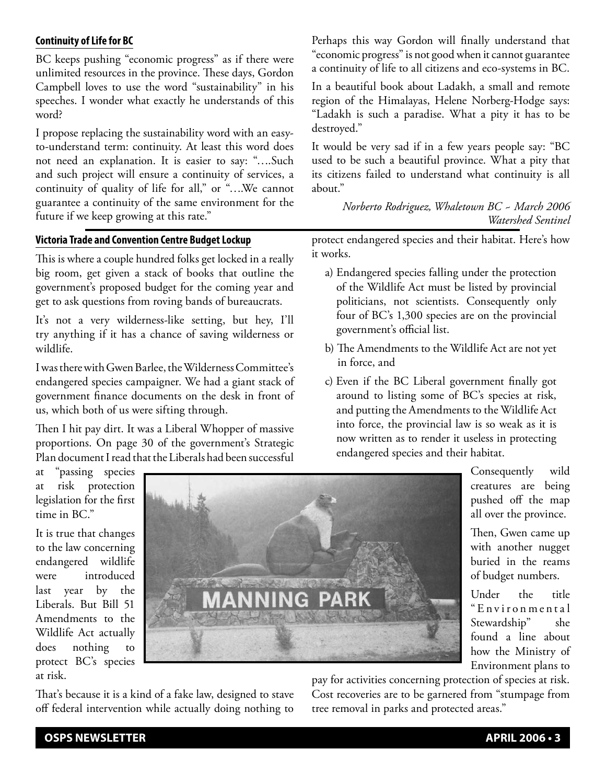## **Continuity of Life for BC**

BC keeps pushing "economic progress" as if there were unlimited resources in the province. These days, Gordon Campbell loves to use the word "sustainability" in his speeches. I wonder what exactly he understands of this word?

I propose replacing the sustainability word with an easyto-understand term: continuity. At least this word does not need an explanation. It is easier to say: "….Such and such project will ensure a continuity of services, a continuity of quality of life for all," or "….We cannot guarantee a continuity of the same environment for the future if we keep growing at this rate."

### **Victoria Trade and Convention Centre Budget Lockup**

This is where a couple hundred folks get locked in a really big room, get given a stack of books that outline the government's proposed budget for the coming year and get to ask questions from roving bands of bureaucrats.

It's not a very wilderness-like setting, but hey, I'll try anything if it has a chance of saving wilderness or wildlife.

I was there with Gwen Barlee, the Wilderness Committee's endangered species campaigner. We had a giant stack of government finance documents on the desk in front of us, which both of us were sifting through.

Then I hit pay dirt. It was a Liberal Whopper of massive proportions. On page 30 of the government's Strategic Plan document I read that the Liberals had been successful

Perhaps this way Gordon will finally understand that "economic progress" is not good when it cannot guarantee a continuity of life to all citizens and eco-systems in BC.

In a beautiful book about Ladakh, a small and remote region of the Himalayas, Helene Norberg-Hodge says: "Ladakh is such a paradise. What a pity it has to be destroyed."

It would be very sad if in a few years people say: "BC used to be such a beautiful province. What a pity that its citizens failed to understand what continuity is all about."

> *Norberto Rodriguez, Whaletown BC ~ March 2006 Watershed Sentinel*

protect endangered species and their habitat. Here's how it works.

- a) Endangered species falling under the protection of the Wildlife Act must be listed by provincial politicians, not scientists. Consequently only four of BC's 1,300 species are on the provincial government's official list.
- b) The Amendments to the Wildlife Act are not yet in force, and
- c) Even if the BC Liberal government finally got around to listing some of BC's species at risk, and putting the Amendments to the Wildlife Act into force, the provincial law is so weak as it is now written as to render it useless in protecting endangered species and their habitat.

at "passing species at risk protection legislation for the first time in BC."

It is true that changes to the law concerning endangered wildlife were introduced last year by the Liberals. But Bill 51 Amendments to the Wildlife Act actually does nothing to protect BC's species at risk.



That's because it is a kind of a fake law, designed to stave off federal intervention while actually doing nothing to pushed off the map all over the province. Then, Gwen came up

Consequently wild creatures are being

with another nugget buried in the reams of budget numbers.

Under the title " E n v i r o n m e n t a l Stewardship" she found a line about how the Ministry of Environment plans to

pay for activities concerning protection of species at risk. Cost recoveries are to be garnered from "stumpage from tree removal in parks and protected areas."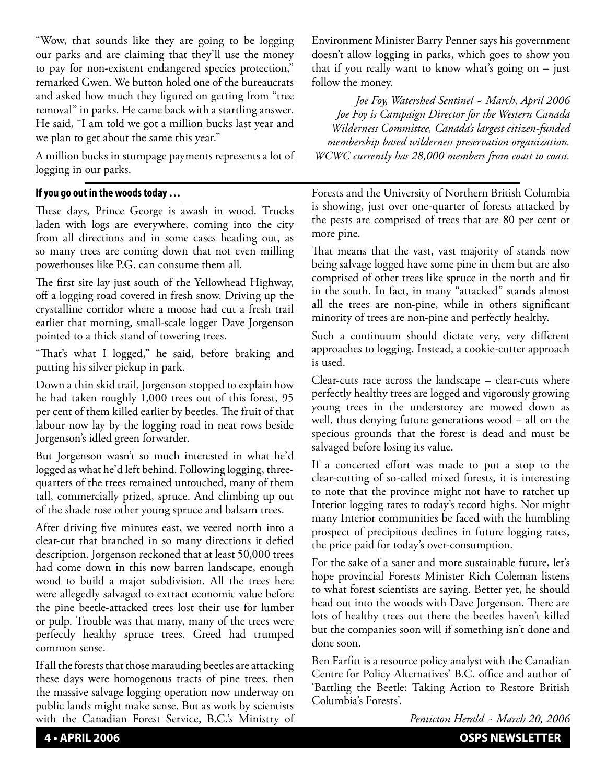"Wow, that sounds like they are going to be logging our parks and are claiming that they'll use the money to pay for non-existent endangered species protection," remarked Gwen. We button holed one of the bureaucrats and asked how much they figured on getting from "tree removal" in parks. He came back with a startling answer. He said, "I am told we got a million bucks last year and we plan to get about the same this year."

A million bucks in stumpage payments represents a lot of logging in our parks.

## **If you go out in the woods today …**

These days, Prince George is awash in wood. Trucks laden with logs are everywhere, coming into the city from all directions and in some cases heading out, as so many trees are coming down that not even milling powerhouses like P.G. can consume them all.

The first site lay just south of the Yellowhead Highway, off a logging road covered in fresh snow. Driving up the crystalline corridor where a moose had cut a fresh trail earlier that morning, small-scale logger Dave Jorgenson pointed to a thick stand of towering trees.

"That's what I logged," he said, before braking and putting his silver pickup in park.

Down a thin skid trail, Jorgenson stopped to explain how he had taken roughly 1,000 trees out of this forest, 95 per cent of them killed earlier by beetles. The fruit of that labour now lay by the logging road in neat rows beside Jorgenson's idled green forwarder.

But Jorgenson wasn't so much interested in what he'd logged as what he'd left behind. Following logging, threequarters of the trees remained untouched, many of them tall, commercially prized, spruce. And climbing up out of the shade rose other young spruce and balsam trees.

After driving five minutes east, we veered north into a clear-cut that branched in so many directions it defied description. Jorgenson reckoned that at least 50,000 trees had come down in this now barren landscape, enough wood to build a major subdivision. All the trees here were allegedly salvaged to extract economic value before the pine beetle-attacked trees lost their use for lumber or pulp. Trouble was that many, many of the trees were perfectly healthy spruce trees. Greed had trumped common sense.

If all the forests that those marauding beetles are attacking these days were homogenous tracts of pine trees, then the massive salvage logging operation now underway on public lands might make sense. But as work by scientists with the Canadian Forest Service, B.C.'s Ministry of Environment Minister Barry Penner says his government doesn't allow logging in parks, which goes to show you that if you really want to know what's going on  $-$  just follow the money.

*Joe Foy, Watershed Sentinel ~ March, April 2006 Joe Foy is Campaign Director for the Western Canada Wilderness Committee, Canada's largest citizen-funded membership based wilderness preservation organization. WCWC currently has 28,000 members from coast to coast.*

Forests and the University of Northern British Columbia is showing, just over one-quarter of forests attacked by the pests are comprised of trees that are 80 per cent or more pine.

That means that the vast, vast majority of stands now being salvage logged have some pine in them but are also comprised of other trees like spruce in the north and fir in the south. In fact, in many "attacked" stands almost all the trees are non-pine, while in others significant minority of trees are non-pine and perfectly healthy.

Such a continuum should dictate very, very different approaches to logging. Instead, a cookie-cutter approach is used.

Clear-cuts race across the landscape – clear-cuts where perfectly healthy trees are logged and vigorously growing young trees in the understorey are mowed down as well, thus denying future generations wood – all on the specious grounds that the forest is dead and must be salvaged before losing its value.

If a concerted effort was made to put a stop to the clear-cutting of so-called mixed forests, it is interesting to note that the province might not have to ratchet up Interior logging rates to today's record highs. Nor might many Interior communities be faced with the humbling prospect of precipitous declines in future logging rates, the price paid for today's over-consumption.

For the sake of a saner and more sustainable future, let's hope provincial Forests Minister Rich Coleman listens to what forest scientists are saying. Better yet, he should head out into the woods with Dave Jorgenson. There are lots of healthy trees out there the beetles haven't killed but the companies soon will if something isn't done and done soon.

Ben Farfitt is a resource policy analyst with the Canadian Centre for Policy Alternatives' B.C. office and author of 'Battling the Beetle: Taking Action to Restore British Columbia's Forests'.

*Penticton Herald ~ March 20, 2006*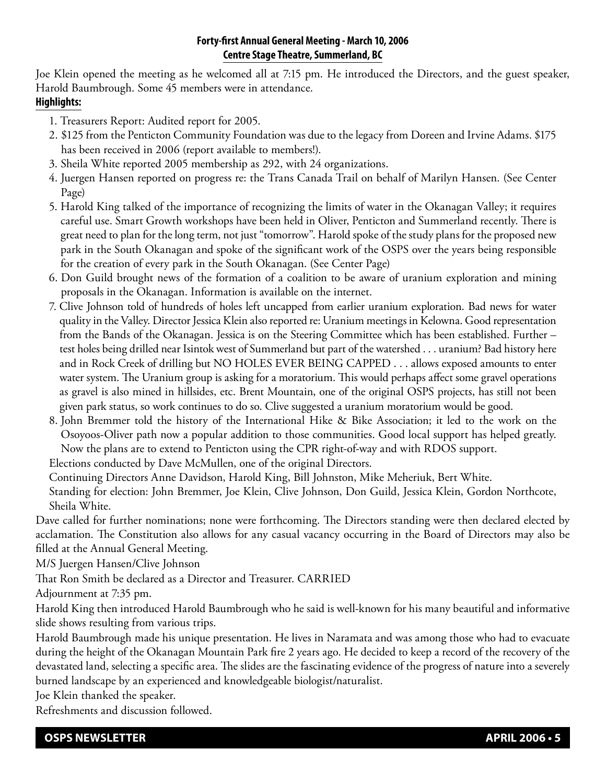## **Forty-first Annual General Meeting - March 10, 2006 Centre Stage Theatre, Summerland, BC**

Joe Klein opened the meeting as he welcomed all at 7:15 pm. He introduced the Directors, and the guest speaker, Harold Baumbrough. Some 45 members were in attendance.

# **Highlights:**

- 1. Treasurers Report: Audited report for 2005.
- 2. \$125 from the Penticton Community Foundation was due to the legacy from Doreen and Irvine Adams. \$175 has been received in 2006 (report available to members!).
- 3. Sheila White reported 2005 membership as 292, with 24 organizations.
- 4. Juergen Hansen reported on progress re: the Trans Canada Trail on behalf of Marilyn Hansen. (See Center Page)
- 5. Harold King talked of the importance of recognizing the limits of water in the Okanagan Valley; it requires careful use. Smart Growth workshops have been held in Oliver, Penticton and Summerland recently. There is great need to plan for the long term, not just "tomorrow". Harold spoke of the study plans for the proposed new park in the South Okanagan and spoke of the significant work of the OSPS over the years being responsible for the creation of every park in the South Okanagan. (See Center Page)
- 6. Don Guild brought news of the formation of a coalition to be aware of uranium exploration and mining proposals in the Okanagan. Information is available on the internet.
- 7. Clive Johnson told of hundreds of holes left uncapped from earlier uranium exploration. Bad news for water quality in the Valley. Director Jessica Klein also reported re: Uranium meetings in Kelowna. Good representation from the Bands of the Okanagan. Jessica is on the Steering Committee which has been established. Further – test holes being drilled near Isintok west of Summerland but part of the watershed . . . uranium? Bad history here and in Rock Creek of drilling but NO HOLES EVER BEING CAPPED . . . allows exposed amounts to enter water system. The Uranium group is asking for a moratorium. This would perhaps affect some gravel operations as gravel is also mined in hillsides, etc. Brent Mountain, one of the original OSPS projects, has still not been given park status, so work continues to do so. Clive suggested a uranium moratorium would be good.
- 8. John Bremmer told the history of the International Hike & Bike Association; it led to the work on the Osoyoos-Oliver path now a popular addition to those communities. Good local support has helped greatly. Now the plans are to extend to Penticton using the CPR right-of-way and with RDOS support.

Elections conducted by Dave McMullen, one of the original Directors.

Continuing Directors Anne Davidson, Harold King, Bill Johnston, Mike Meheriuk, Bert White.

Standing for election: John Bremmer, Joe Klein, Clive Johnson, Don Guild, Jessica Klein, Gordon Northcote, Sheila White.

Dave called for further nominations; none were forthcoming. The Directors standing were then declared elected by acclamation. The Constitution also allows for any casual vacancy occurring in the Board of Directors may also be filled at the Annual General Meeting.

M/S Juergen Hansen/Clive Johnson

That Ron Smith be declared as a Director and Treasurer. CARRIED

Adjournment at 7:35 pm.

Harold King then introduced Harold Baumbrough who he said is well-known for his many beautiful and informative slide shows resulting from various trips.

Harold Baumbrough made his unique presentation. He lives in Naramata and was among those who had to evacuate during the height of the Okanagan Mountain Park fire 2 years ago. He decided to keep a record of the recovery of the devastated land, selecting a specific area. The slides are the fascinating evidence of the progress of nature into a severely burned landscape by an experienced and knowledgeable biologist/naturalist.

Joe Klein thanked the speaker.

Refreshments and discussion followed.

**OSPS NEWSLETTER APRIL 2006 • 5**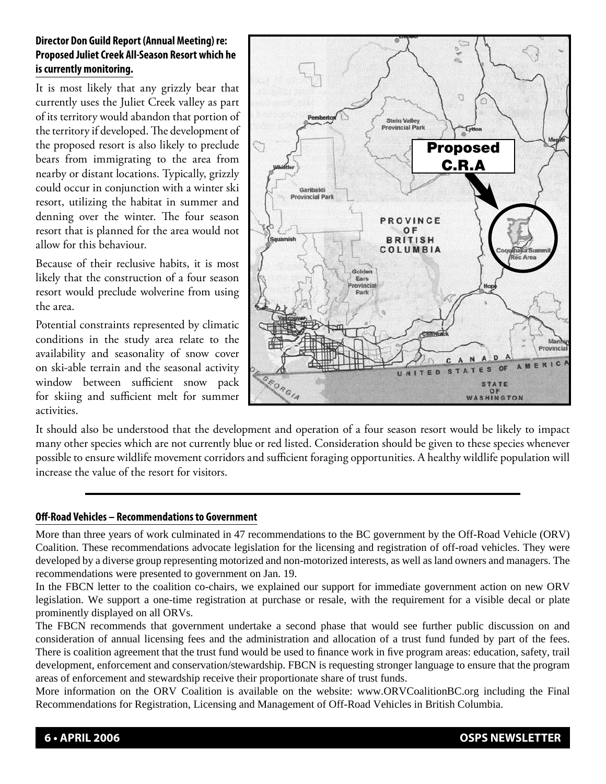# **Director Don Guild Report (Annual Meeting) re: Proposed Juliet Creek All-Season Resort which he is currently monitoring.**

It is most likely that any grizzly bear that currently uses the Juliet Creek valley as part of its territory would abandon that portion of the territory if developed. The development of the proposed resort is also likely to preclude bears from immigrating to the area from nearby or distant locations. Typically, grizzly could occur in conjunction with a winter ski resort, utilizing the habitat in summer and denning over the winter. The four season resort that is planned for the area would not allow for this behaviour.

Because of their reclusive habits, it is most likely that the construction of a four season resort would preclude wolverine from using the area.

Potential constraints represented by climatic conditions in the study area relate to the availability and seasonality of snow cover on ski-able terrain and the seasonal activity window between sufficient snow pack for skiing and sufficient melt for summer activities.



It should also be understood that the development and operation of a four season resort would be likely to impact many other species which are not currently blue or red listed. Consideration should be given to these species whenever possible to ensure wildlife movement corridors and sufficient foraging opportunities. A healthy wildlife population will increase the value of the resort for visitors.

## **Off-Road Vehicles – Recommendations to Government**

More than three years of work culminated in 47 recommendations to the BC government by the Off-Road Vehicle (ORV) Coalition. These recommendations advocate legislation for the licensing and registration of off-road vehicles. They were developed by a diverse group representing motorized and non-motorized interests, as well as land owners and managers. The recommendations were presented to government on Jan. 19.

In the FBCN letter to the coalition co-chairs, we explained our support for immediate government action on new ORV legislation. We support a one-time registration at purchase or resale, with the requirement for a visible decal or plate prominently displayed on all ORVs.

The FBCN recommends that government undertake a second phase that would see further public discussion on and consideration of annual licensing fees and the administration and allocation of a trust fund funded by part of the fees. There is coalition agreement that the trust fund would be used to finance work in five program areas: education, safety, trail development, enforcement and conservation/stewardship. FBCN is requesting stronger language to ensure that the program areas of enforcement and stewardship receive their proportionate share of trust funds.

More information on the ORV Coalition is available on the website: www.ORVCoalitionBC.org including the Final Recommendations for Registration, Licensing and Management of Off-Road Vehicles in British Columbia.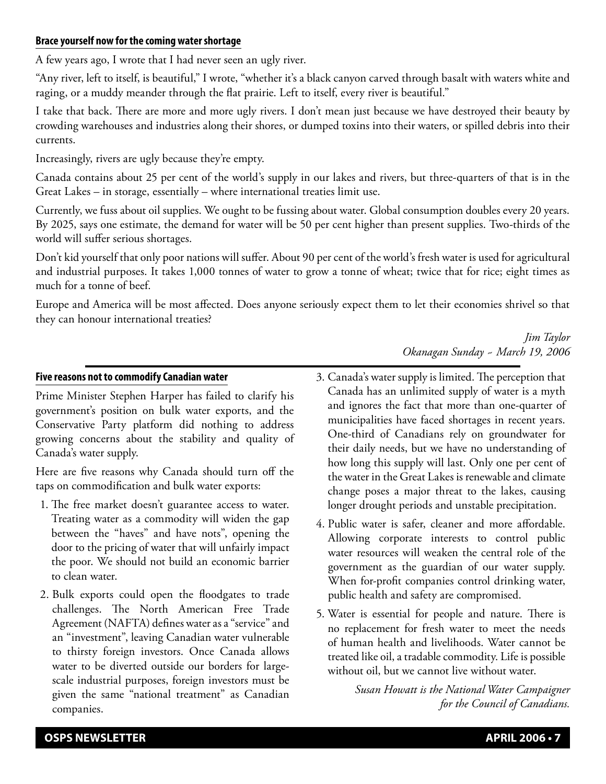### **Brace yourself now for the coming water shortage**

A few years ago, I wrote that I had never seen an ugly river.

"Any river, left to itself, is beautiful," I wrote, "whether it's a black canyon carved through basalt with waters white and raging, or a muddy meander through the flat prairie. Left to itself, every river is beautiful."

I take that back. There are more and more ugly rivers. I don't mean just because we have destroyed their beauty by crowding warehouses and industries along their shores, or dumped toxins into their waters, or spilled debris into their currents.

Increasingly, rivers are ugly because they're empty.

Canada contains about 25 per cent of the world's supply in our lakes and rivers, but three-quarters of that is in the Great Lakes – in storage, essentially – where international treaties limit use.

Currently, we fuss about oil supplies. We ought to be fussing about water. Global consumption doubles every 20 years. By 2025, says one estimate, the demand for water will be 50 per cent higher than present supplies. Two-thirds of the world will suffer serious shortages.

Don't kid yourself that only poor nations will suffer. About 90 per cent of the world's fresh water is used for agricultural and industrial purposes. It takes 1,000 tonnes of water to grow a tonne of wheat; twice that for rice; eight times as much for a tonne of beef.

Europe and America will be most affected. Does anyone seriously expect them to let their economies shrivel so that they can honour international treaties?

# *Jim Taylor Okanagan Sunday ~ March 19, 2006*

### **Five reasons not to commodify Canadian water**

Prime Minister Stephen Harper has failed to clarify his government's position on bulk water exports, and the Conservative Party platform did nothing to address growing concerns about the stability and quality of Canada's water supply.

Here are five reasons why Canada should turn off the taps on commodification and bulk water exports:

- 1. The free market doesn't guarantee access to water. Treating water as a commodity will widen the gap between the "haves" and have nots", opening the door to the pricing of water that will unfairly impact the poor. We should not build an economic barrier to clean water.
- 2. Bulk exports could open the floodgates to trade challenges. The North American Free Trade Agreement (NAFTA) defines water as a "service" and an "investment", leaving Canadian water vulnerable to thirsty foreign investors. Once Canada allows water to be diverted outside our borders for largescale industrial purposes, foreign investors must be given the same "national treatment" as Canadian companies.
- 3. Canada's water supply is limited. The perception that Canada has an unlimited supply of water is a myth and ignores the fact that more than one-quarter of municipalities have faced shortages in recent years. One-third of Canadians rely on groundwater for their daily needs, but we have no understanding of how long this supply will last. Only one per cent of the water in the Great Lakes is renewable and climate change poses a major threat to the lakes, causing longer drought periods and unstable precipitation.
- 4. Public water is safer, cleaner and more affordable. Allowing corporate interests to control public water resources will weaken the central role of the government as the guardian of our water supply. When for-profit companies control drinking water, public health and safety are compromised.
- 5. Water is essential for people and nature. There is no replacement for fresh water to meet the needs of human health and livelihoods. Water cannot be treated like oil, a tradable commodity. Life is possible without oil, but we cannot live without water.

*Susan Howatt is the National Water Campaigner for the Council of Canadians.*